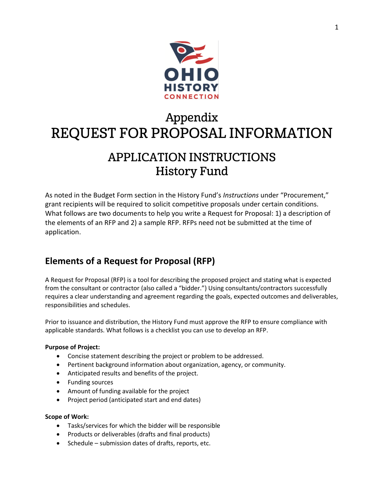

# Appendix REQUEST FOR PROPOSAL INFORMATION

## **APPLICATION INSTRUCTIONS History Fund**

As noted in the Budget Form section in the History Fund's *Instructions* under "Procurement," grant recipients will be required to solicit competitive proposals under certain conditions. What follows are two documents to help you write a Request for Proposal: 1) a description of the elements of an RFP and 2) a sample RFP. RFPs need not be submitted at the time of application.

### **Elements of a Request for Proposal (RFP)**

A Request for Proposal (RFP) is a tool for describing the proposed project and stating what is expected from the consultant or contractor (also called a "bidder.") Using consultants/contractors successfully requires a clear understanding and agreement regarding the goals, expected outcomes and deliverables, responsibilities and schedules.

Prior to issuance and distribution, the History Fund must approve the RFP to ensure compliance with applicable standards. What follows is a checklist you can use to develop an RFP.

#### **Purpose of Project:**

- Concise statement describing the project or problem to be addressed.
- Pertinent background information about organization, agency, or community.
- Anticipated results and benefits of the project.
- Funding sources
- Amount of funding available for the project
- Project period (anticipated start and end dates)

#### **Scope of Work:**

- Tasks/services for which the bidder will be responsible
- Products or deliverables (drafts and final products)
- Schedule submission dates of drafts, reports, etc.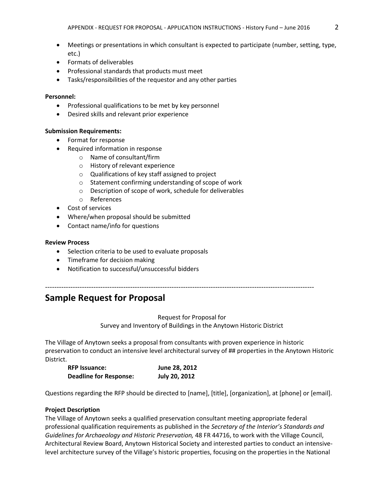- Meetings or presentations in which consultant is expected to participate (number, setting, type, etc.)
- Formats of deliverables
- Professional standards that products must meet
- Tasks/responsibilities of the requestor and any other parties

#### **Personnel:**

- Professional qualifications to be met by key personnel
- Desired skills and relevant prior experience

#### **Submission Requirements:**

- Format for response
- Required information in response
	- o Name of consultant/firm
	- o History of relevant experience
	- o Qualifications of key staff assigned to project
	- o Statement confirming understanding of scope of work
	- o Description of scope of work, schedule for deliverables
	- o References
- Cost of services
- Where/when proposal should be submitted
- Contact name/info for questions

#### **Review Process**

- Selection criteria to be used to evaluate proposals
- Timeframe for decision making
- Notification to successful/unsuccessful bidders

### **Sample Request for Proposal**

Request for Proposal for Survey and Inventory of Buildings in the Anytown Historic District

---------------------------------------------------------------------------------------------------------------------

The Village of Anytown seeks a proposal from consultants with proven experience in historic preservation to conduct an intensive level architectural survey of ## properties in the Anytown Historic District.

| <b>RFP Issuance:</b>          | June 28, 2012        |
|-------------------------------|----------------------|
| <b>Deadline for Response:</b> | <b>July 20, 2012</b> |

Questions regarding the RFP should be directed to [name], [title], [organization], at [phone] or [email].

#### **Project Description**

The Village of Anytown seeks a qualified preservation consultant meeting appropriate federal professional qualification requirements as published in the *Secretary of the Interior's Standards and Guidelines for Archaeology and Historic Preservation,* 48 FR 44716, to work with the Village Council, Architectural Review Board, Anytown Historical Society and interested parties to conduct an intensivelevel architecture survey of the Village's historic properties, focusing on the properties in the National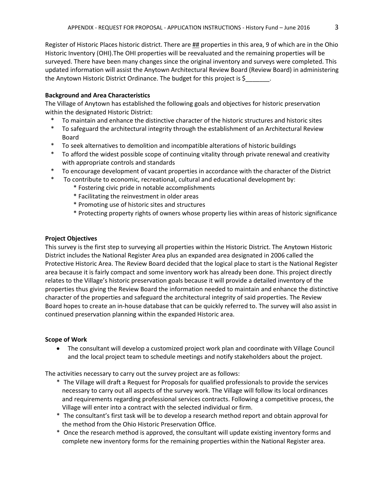Register of Historic Places historic district. There are  $\frac{HH}{H}$  properties in this area, 9 of which are in the Ohio Historic Inventory (OHI).The OHI properties will be reevaluated and the remaining properties will be surveyed. There have been many changes since the original inventory and surveys were completed. This updated information will assist the Anytown Architectural Review Board (Review Board) in administering the Anytown Historic District Ordinance. The budget for this project is \$

#### **Background and Area Characteristics**

The Village of Anytown has established the following goals and objectives for historic preservation within the designated Historic District:

- To maintain and enhance the distinctive character of the historic structures and historic sites
- \* To safeguard the architectural integrity through the establishment of an Architectural Review Board
- \* To seek alternatives to demolition and incompatible alterations of historic buildings
- \* To afford the widest possible scope of continuing vitality through private renewal and creativity with appropriate controls and standards
- \* To encourage development of vacant properties in accordance with the character of the District
- \* To contribute to economic, recreational, cultural and educational development by:
	- \* Fostering civic pride in notable accomplishments
	- \* Facilitating the reinvestment in older areas
	- \* Promoting use of historic sites and structures
	- \* Protecting property rights of owners whose property lies within areas of historic significance

#### **Project Objectives**

This survey is the first step to surveying all properties within the Historic District. The Anytown Historic District includes the National Register Area plus an expanded area designated in 2006 called the Protective Historic Area. The Review Board decided that the logical place to start is the National Register area because it is fairly compact and some inventory work has already been done. This project directly relates to the Village's historic preservation goals because it will provide a detailed inventory of the properties thus giving the Review Board the information needed to maintain and enhance the distinctive character of the properties and safeguard the architectural integrity of said properties. The Review Board hopes to create an in-house database that can be quickly referred to. The survey will also assist in continued preservation planning within the expanded Historic area.

#### **Scope of Work**

 The consultant will develop a customized project work plan and coordinate with Village Council and the local project team to schedule meetings and notify stakeholders about the project.

The activities necessary to carry out the survey project are as follows:

- \* The Village will draft a Request for Proposals for qualified professionals to provide the services necessary to carry out all aspects of the survey work. The Village will follow its local ordinances and requirements regarding professional services contracts. Following a competitive process, the Village will enter into a contract with the selected individual or firm.
- \* The consultant's first task will be to develop a research method report and obtain approval for the method from the Ohio Historic Preservation Office.
- \* Once the research method is approved, the consultant will update existing inventory forms and complete new inventory forms for the remaining properties within the National Register area.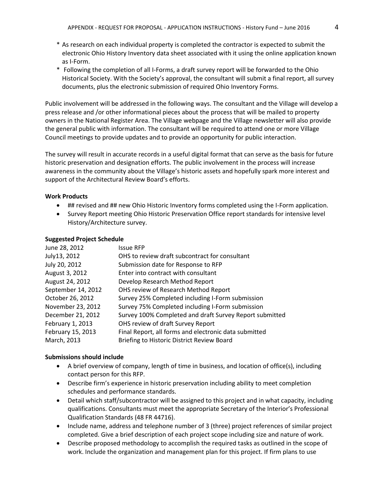- \* As research on each individual property is completed the contractor is expected to submit the electronic Ohio History Inventory data sheet associated with it using the online application known as I-Form.
- \* Following the completion of all I-Forms, a draft survey report will be forwarded to the Ohio Historical Society. With the Society's approval, the consultant will submit a final report, all survey documents, plus the electronic submission of required Ohio Inventory Forms.

Public involvement will be addressed in the following ways. The consultant and the Village will develop a press release and /or other informational pieces about the process that will be mailed to property owners in the National Register Area. The Village webpage and the Village newsletter will also provide the general public with information. The consultant will be required to attend one or more Village Council meetings to provide updates and to provide an opportunity for public interaction.

The survey will result in accurate records in a useful digital format that can serve as the basis for future historic preservation and designation efforts. The public involvement in the process will increase awareness in the community about the Village's historic assets and hopefully spark more interest and support of the Architectural Review Board's efforts.

#### **Work Products**

- ## revised and ## new Ohio Historic Inventory forms completed using the I-Form application.
- Survey Report meeting Ohio Historic Preservation Office report standards for intensive level History/Architecture survey.

#### **Suggested Project Schedule**

| June 28, 2012      | <b>Issue RFP</b>                                        |
|--------------------|---------------------------------------------------------|
| July13, 2012       | OHS to review draft subcontract for consultant          |
| July 20, 2012      | Submission date for Response to RFP                     |
| August 3, 2012     | Enter into contract with consultant                     |
| August 24, 2012    | Develop Research Method Report                          |
| September 14, 2012 | OHS review of Research Method Report                    |
| October 26, 2012   | Survey 25% Completed including I-Form submission        |
| November 23, 2012  | Survey 75% Completed including I-Form submission        |
| December 21, 2012  | Survey 100% Completed and draft Survey Report submitted |
| February 1, 2013   | OHS review of draft Survey Report                       |
| February 15, 2013  | Final Report, all forms and electronic data submitted   |
| March, 2013        | Briefing to Historic District Review Board              |
|                    |                                                         |

#### **Submissions should include**

- A brief overview of company, length of time in business, and location of office(s), including contact person for this RFP.
- Describe firm's experience in historic preservation including ability to meet completion schedules and performance standards.
- Detail which staff/subcontractor will be assigned to this project and in what capacity, including qualifications. Consultants must meet the appropriate Secretary of the Interior's Professional Qualification Standards (48 FR 44716).
- Include name, address and telephone number of 3 (three) project references of similar project completed. Give a brief description of each project scope including size and nature of work.
- Describe proposed methodology to accomplish the required tasks as outlined in the scope of work. Include the organization and management plan for this project. If firm plans to use